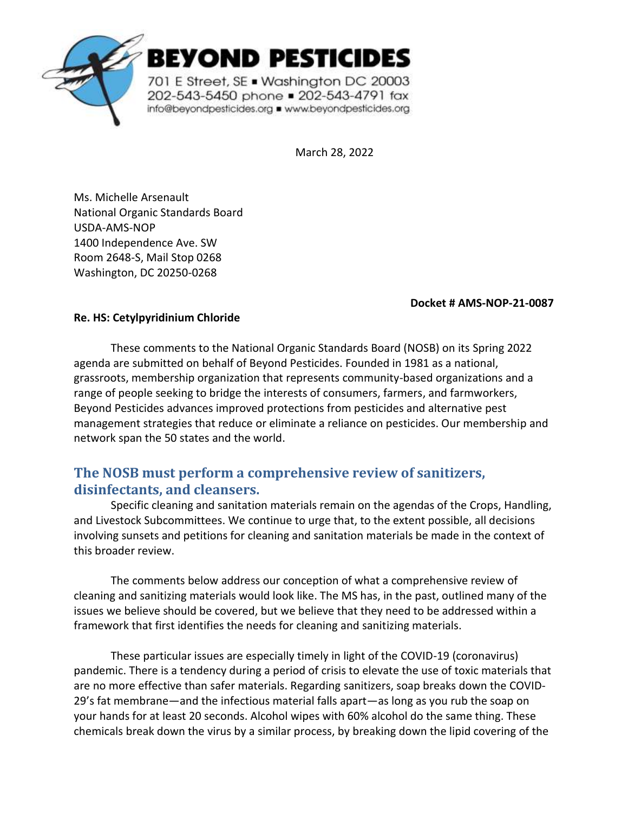

BEYOND PESTICIDES

701 E Street, SE . Washington DC 20003 202-543-5450 phone = 202-543-4791 fax info@beyondpesticides.org = www.beyondpesticides.org

March 28, 2022

Ms. Michelle Arsenault National Organic Standards Board USDA-AMS-NOP 1400 Independence Ave. SW Room 2648-S, Mail Stop 0268 Washington, DC 20250-0268

#### **Docket # AMS-NOP-21-0087**

### **Re. HS: Cetylpyridinium Chloride**

These comments to the National Organic Standards Board (NOSB) on its Spring 2022 agenda are submitted on behalf of Beyond Pesticides. Founded in 1981 as a national, grassroots, membership organization that represents community-based organizations and a range of people seeking to bridge the interests of consumers, farmers, and farmworkers, Beyond Pesticides advances improved protections from pesticides and alternative pest management strategies that reduce or eliminate a reliance on pesticides. Our membership and network span the 50 states and the world.

# **The NOSB must perform a comprehensive review of sanitizers, disinfectants, and cleansers.**

Specific cleaning and sanitation materials remain on the agendas of the Crops, Handling, and Livestock Subcommittees. We continue to urge that, to the extent possible, all decisions involving sunsets and petitions for cleaning and sanitation materials be made in the context of this broader review.

The comments below address our conception of what a comprehensive review of cleaning and sanitizing materials would look like. The MS has, in the past, outlined many of the issues we believe should be covered, but we believe that they need to be addressed within a framework that first identifies the needs for cleaning and sanitizing materials.

These particular issues are especially timely in light of the COVID-19 (coronavirus) pandemic. There is a tendency during a period of crisis to elevate the use of toxic materials that are no more effective than safer materials. Regarding sanitizers, soap breaks down the COVID-29's fat membrane—and the infectious material falls apart—as long as you rub the soap on your hands for at least 20 seconds. Alcohol wipes with 60% alcohol do the same thing. These chemicals break down the virus by a similar process, by breaking down the lipid covering of the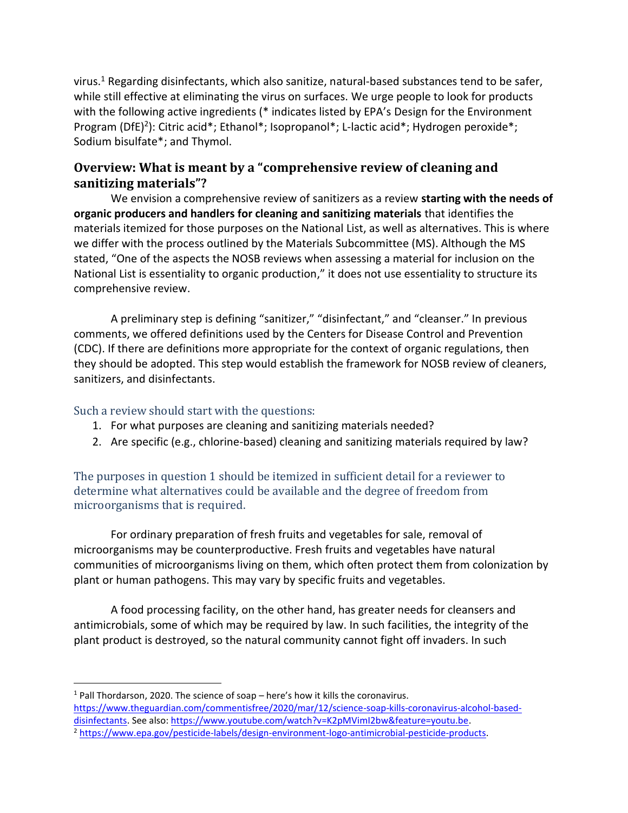virus.<sup>1</sup> Regarding disinfectants, which also sanitize, natural-based substances tend to be safer, while still effective at eliminating the virus on surfaces. We urge people to look for products with the following active ingredients (\* indicates listed by EPA's Design for the Environment Program (DfE)<sup>2</sup>): Citric acid\*; Ethanol\*; Isopropanol\*; L-lactic acid\*; Hydrogen peroxide\*; Sodium bisulfate\*; and Thymol.

## **Overview: What is meant by a "comprehensive review of cleaning and sanitizing materials"?**

We envision a comprehensive review of sanitizers as a review **starting with the needs of organic producers and handlers for cleaning and sanitizing materials** that identifies the materials itemized for those purposes on the National List, as well as alternatives. This is where we differ with the process outlined by the Materials Subcommittee (MS). Although the MS stated, "One of the aspects the NOSB reviews when assessing a material for inclusion on the National List is essentiality to organic production," it does not use essentiality to structure its comprehensive review.

A preliminary step is defining "sanitizer," "disinfectant," and "cleanser." In previous comments, we offered definitions used by the Centers for Disease Control and Prevention (CDC). If there are definitions more appropriate for the context of organic regulations, then they should be adopted. This step would establish the framework for NOSB review of cleaners, sanitizers, and disinfectants.

### Such a review should start with the questions:

- 1. For what purposes are cleaning and sanitizing materials needed?
- 2. Are specific (e.g., chlorine-based) cleaning and sanitizing materials required by law?

### The purposes in question 1 should be itemized in sufficient detail for a reviewer to determine what alternatives could be available and the degree of freedom from microorganisms that is required.

For ordinary preparation of fresh fruits and vegetables for sale, removal of microorganisms may be counterproductive. Fresh fruits and vegetables have natural communities of microorganisms living on them, which often protect them from colonization by plant or human pathogens. This may vary by specific fruits and vegetables.

A food processing facility, on the other hand, has greater needs for cleansers and antimicrobials, some of which may be required by law. In such facilities, the integrity of the plant product is destroyed, so the natural community cannot fight off invaders. In such

 $1$  Pall Thordarson, 2020. The science of soap – here's how it kills the coronavirus. [https://www.theguardian.com/commentisfree/2020/mar/12/science-soap-kills-coronavirus-alcohol-based](https://www.theguardian.com/commentisfree/2020/mar/12/science-soap-kills-coronavirus-alcohol-based-disinfectants)[disinfectants.](https://www.theguardian.com/commentisfree/2020/mar/12/science-soap-kills-coronavirus-alcohol-based-disinfectants) See also[: https://www.youtube.com/watch?v=K2pMVimI2bw&feature=youtu.be.](https://www.youtube.com/watch?v=K2pMVimI2bw&feature=youtu.be)

<sup>2</sup> [https://www.epa.gov/pesticide-labels/design-environment-logo-antimicrobial-pesticide-products.](https://www.epa.gov/pesticide-labels/design-environment-logo-antimicrobial-pesticide-products)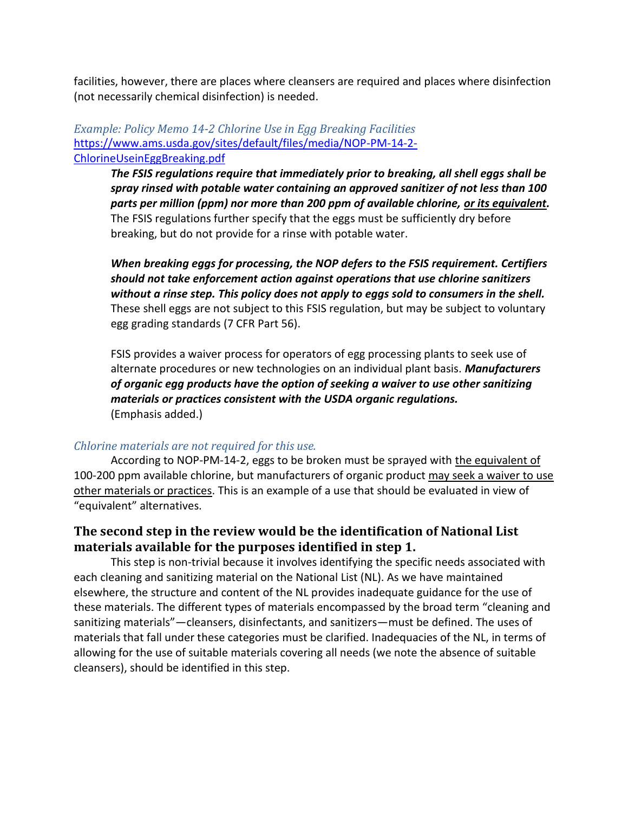facilities, however, there are places where cleansers are required and places where disinfection (not necessarily chemical disinfection) is needed.

#### *Example: Policy Memo 14-2 Chlorine Use in Egg Breaking Facilities* [https://www.ams.usda.gov/sites/default/files/media/NOP-PM-14-2-](https://www.ams.usda.gov/sites/default/files/media/NOP-PM-14-2-ChlorineUseinEggBreaking.pdf) [ChlorineUseinEggBreaking.pdf](https://www.ams.usda.gov/sites/default/files/media/NOP-PM-14-2-ChlorineUseinEggBreaking.pdf)

*The FSIS regulations require that immediately prior to breaking, all shell eggs shall be spray rinsed with potable water containing an approved sanitizer of not less than 100 parts per million (ppm) nor more than 200 ppm of available chlorine, or its equivalent.* The FSIS regulations further specify that the eggs must be sufficiently dry before breaking, but do not provide for a rinse with potable water.

*When breaking eggs for processing, the NOP defers to the FSIS requirement. Certifiers should not take enforcement action against operations that use chlorine sanitizers without a rinse step. This policy does not apply to eggs sold to consumers in the shell.* These shell eggs are not subject to this FSIS regulation, but may be subject to voluntary egg grading standards (7 CFR Part 56).

FSIS provides a waiver process for operators of egg processing plants to seek use of alternate procedures or new technologies on an individual plant basis. *Manufacturers of organic egg products have the option of seeking a waiver to use other sanitizing materials or practices consistent with the USDA organic regulations.* (Emphasis added.)

#### *Chlorine materials are not required for this use.*

According to NOP-PM-14-2, eggs to be broken must be sprayed with the equivalent of 100-200 ppm available chlorine, but manufacturers of organic product may seek a waiver to use other materials or practices. This is an example of a use that should be evaluated in view of "equivalent" alternatives.

## **The second step in the review would be the identification of National List materials available for the purposes identified in step 1.**

This step is non-trivial because it involves identifying the specific needs associated with each cleaning and sanitizing material on the National List (NL). As we have maintained elsewhere, the structure and content of the NL provides inadequate guidance for the use of these materials. The different types of materials encompassed by the broad term "cleaning and sanitizing materials"—cleansers, disinfectants, and sanitizers—must be defined. The uses of materials that fall under these categories must be clarified. Inadequacies of the NL, in terms of allowing for the use of suitable materials covering all needs (we note the absence of suitable cleansers), should be identified in this step.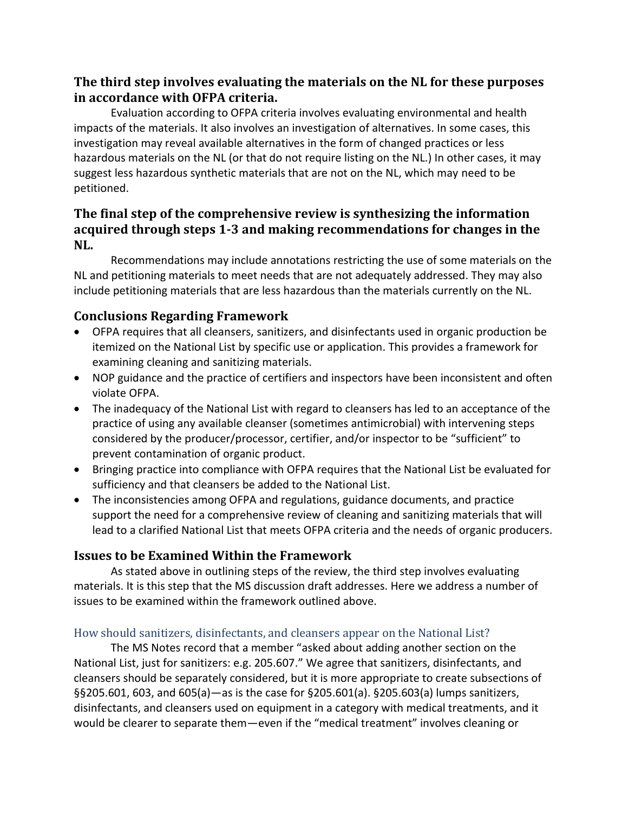## **The third step involves evaluating the materials on the NL for these purposes in accordance with OFPA criteria.**

Evaluation according to OFPA criteria involves evaluating environmental and health impacts of the materials. It also involves an investigation of alternatives. In some cases, this investigation may reveal available alternatives in the form of changed practices or less hazardous materials on the NL (or that do not require listing on the NL.) In other cases, it may suggest less hazardous synthetic materials that are not on the NL, which may need to be petitioned.

## **The final step of the comprehensive review is synthesizing the information acquired through steps 1-3 and making recommendations for changes in the NL.**

Recommendations may include annotations restricting the use of some materials on the NL and petitioning materials to meet needs that are not adequately addressed. They may also include petitioning materials that are less hazardous than the materials currently on the NL.

## **Conclusions Regarding Framework**

- OFPA requires that all cleansers, sanitizers, and disinfectants used in organic production be itemized on the National List by specific use or application. This provides a framework for examining cleaning and sanitizing materials.
- NOP guidance and the practice of certifiers and inspectors have been inconsistent and often violate OFPA.
- The inadequacy of the National List with regard to cleansers has led to an acceptance of the practice of using any available cleanser (sometimes antimicrobial) with intervening steps considered by the producer/processor, certifier, and/or inspector to be "sufficient" to prevent contamination of organic product.
- Bringing practice into compliance with OFPA requires that the National List be evaluated for sufficiency and that cleansers be added to the National List.
- The inconsistencies among OFPA and regulations, guidance documents, and practice support the need for a comprehensive review of cleaning and sanitizing materials that will lead to a clarified National List that meets OFPA criteria and the needs of organic producers.

## **Issues to be Examined Within the Framework**

As stated above in outlining steps of the review, the third step involves evaluating materials. It is this step that the MS discussion draft addresses. Here we address a number of issues to be examined within the framework outlined above.

## How should sanitizers, disinfectants, and cleansers appear on the National List?

The MS Notes record that a member "asked about adding another section on the National List, just for sanitizers: e.g. 205.607." We agree that sanitizers, disinfectants, and cleansers should be separately considered, but it is more appropriate to create subsections of §§205.601, 603, and 605(a)—as is the case for §205.601(a). §205.603(a) lumps sanitizers, disinfectants, and cleansers used on equipment in a category with medical treatments, and it would be clearer to separate them—even if the "medical treatment" involves cleaning or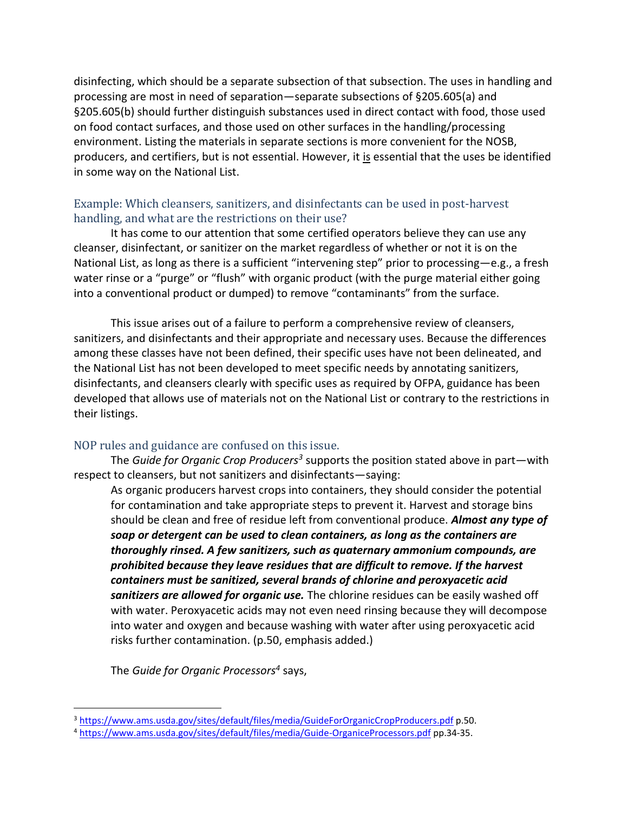disinfecting, which should be a separate subsection of that subsection. The uses in handling and processing are most in need of separation—separate subsections of §205.605(a) and §205.605(b) should further distinguish substances used in direct contact with food, those used on food contact surfaces, and those used on other surfaces in the handling/processing environment. Listing the materials in separate sections is more convenient for the NOSB, producers, and certifiers, but is not essential. However, it is essential that the uses be identified in some way on the National List.

### Example: Which cleansers, sanitizers, and disinfectants can be used in post-harvest handling, and what are the restrictions on their use?

It has come to our attention that some certified operators believe they can use any cleanser, disinfectant, or sanitizer on the market regardless of whether or not it is on the National List, as long as there is a sufficient "intervening step" prior to processing—e.g., a fresh water rinse or a "purge" or "flush" with organic product (with the purge material either going into a conventional product or dumped) to remove "contaminants" from the surface.

This issue arises out of a failure to perform a comprehensive review of cleansers, sanitizers, and disinfectants and their appropriate and necessary uses. Because the differences among these classes have not been defined, their specific uses have not been delineated, and the National List has not been developed to meet specific needs by annotating sanitizers, disinfectants, and cleansers clearly with specific uses as required by OFPA, guidance has been developed that allows use of materials not on the National List or contrary to the restrictions in their listings.

### NOP rules and guidance are confused on this issue.

The *Guide for Organic Crop Producers<sup>3</sup>* supports the position stated above in part—with respect to cleansers, but not sanitizers and disinfectants—saying:

As organic producers harvest crops into containers, they should consider the potential for contamination and take appropriate steps to prevent it. Harvest and storage bins should be clean and free of residue left from conventional produce. *Almost any type of soap or detergent can be used to clean containers, as long as the containers are thoroughly rinsed. A few sanitizers, such as quaternary ammonium compounds, are prohibited because they leave residues that are difficult to remove. If the harvest containers must be sanitized, several brands of chlorine and peroxyacetic acid sanitizers are allowed for organic use.* The chlorine residues can be easily washed off with water. Peroxyacetic acids may not even need rinsing because they will decompose into water and oxygen and because washing with water after using peroxyacetic acid risks further contamination. (p.50, emphasis added.)

The *Guide for Organic Processors<sup>4</sup>* says,

<sup>3</sup> <https://www.ams.usda.gov/sites/default/files/media/GuideForOrganicCropProducers.pdf> p.50.

<sup>4</sup> <https://www.ams.usda.gov/sites/default/files/media/Guide-OrganiceProcessors.pdf> pp.34-35.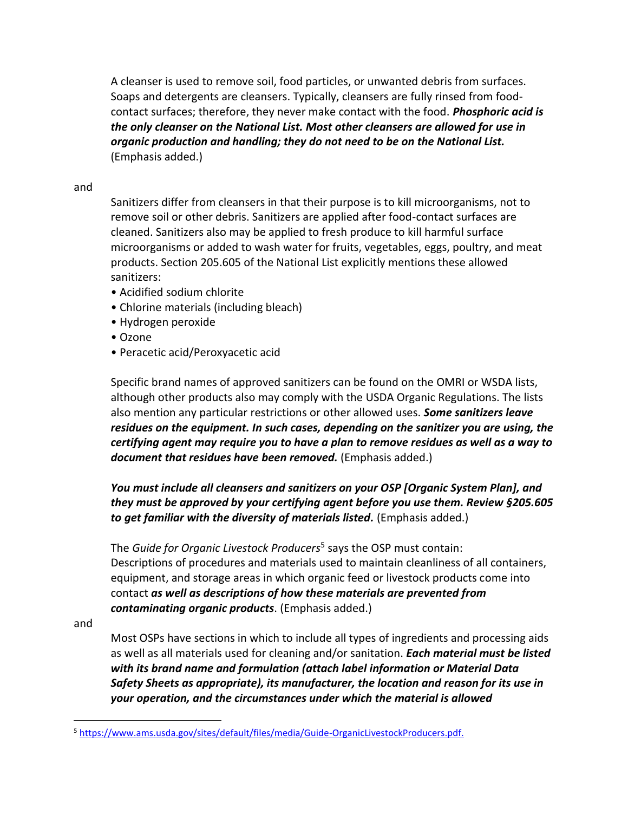A cleanser is used to remove soil, food particles, or unwanted debris from surfaces. Soaps and detergents are cleansers. Typically, cleansers are fully rinsed from foodcontact surfaces; therefore, they never make contact with the food. *Phosphoric acid is the only cleanser on the National List. Most other cleansers are allowed for use in organic production and handling; they do not need to be on the National List.*  (Emphasis added.)

#### and

Sanitizers differ from cleansers in that their purpose is to kill microorganisms, not to remove soil or other debris. Sanitizers are applied after food-contact surfaces are cleaned. Sanitizers also may be applied to fresh produce to kill harmful surface microorganisms or added to wash water for fruits, vegetables, eggs, poultry, and meat products. Section 205.605 of the National List explicitly mentions these allowed sanitizers:

- Acidified sodium chlorite
- Chlorine materials (including bleach)
- Hydrogen peroxide
- Ozone
- Peracetic acid/Peroxyacetic acid

Specific brand names of approved sanitizers can be found on the OMRI or WSDA lists, although other products also may comply with the USDA Organic Regulations. The lists also mention any particular restrictions or other allowed uses. *Some sanitizers leave residues on the equipment. In such cases, depending on the sanitizer you are using, the certifying agent may require you to have a plan to remove residues as well as a way to document that residues have been removed.* (Emphasis added.)

*You must include all cleansers and sanitizers on your OSP [Organic System Plan], and they must be approved by your certifying agent before you use them. Review §205.605 to get familiar with the diversity of materials listed.* (Emphasis added.)

The *Guide for Organic Livestock Producers*<sup>5</sup> says the OSP must contain: Descriptions of procedures and materials used to maintain cleanliness of all containers, equipment, and storage areas in which organic feed or livestock products come into contact *as well as descriptions of how these materials are prevented from contaminating organic products*. (Emphasis added.)

and

Most OSPs have sections in which to include all types of ingredients and processing aids as well as all materials used for cleaning and/or sanitation. *Each material must be listed with its brand name and formulation (attach label information or Material Data Safety Sheets as appropriate), its manufacturer, the location and reason for its use in your operation, and the circumstances under which the material is allowed* 

<sup>5</sup> [https://www.ams.usda.gov/sites/default/files/media/Guide-OrganicLivestockProducers.pdf.](https://www.ams.usda.gov/sites/default/files/media/Guide-OrganicLivestockProducers.pdf)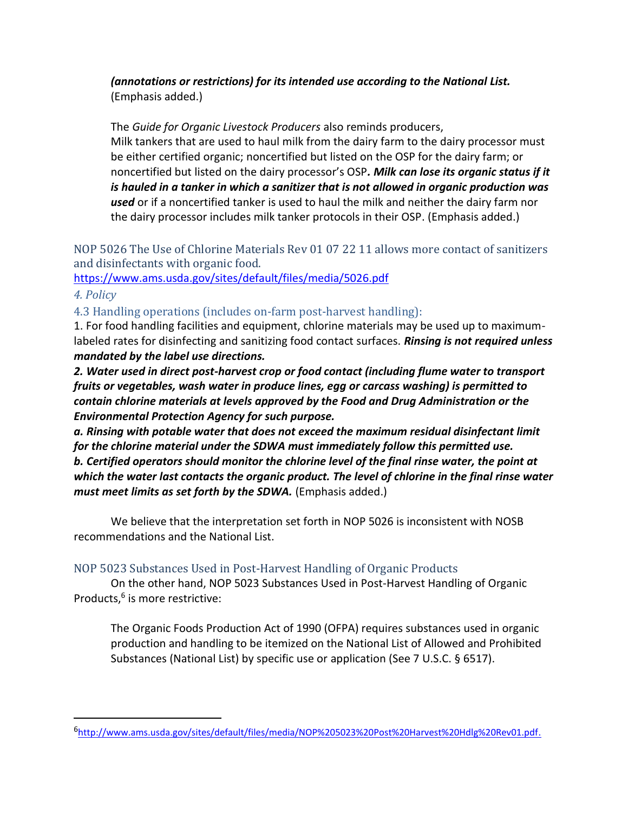### *(annotations or restrictions) for its intended use according to the National List.* (Emphasis added.)

The *Guide for Organic Livestock Producers* also reminds producers, Milk tankers that are used to haul milk from the dairy farm to the dairy processor must be either certified organic; noncertified but listed on the OSP for the dairy farm; or noncertified but listed on the dairy processor's OSP*. Milk can lose its organic status if it is hauled in a tanker in which a sanitizer that is not allowed in organic production was used* or if a noncertified tanker is used to haul the milk and neither the dairy farm nor the dairy processor includes milk tanker protocols in their OSP. (Emphasis added.)

NOP 5026 The Use of Chlorine Materials Rev 01 07 22 11 allows more contact of sanitizers and disinfectants with organic food.

<https://www.ams.usda.gov/sites/default/files/media/5026.pdf>

### *4. Policy*

4.3 Handling operations (includes on-farm post-harvest handling):

1. For food handling facilities and equipment, chlorine materials may be used up to maximumlabeled rates for disinfecting and sanitizing food contact surfaces. *Rinsing is not required unless mandated by the label use directions.*

*2. Water used in direct post-harvest crop or food contact (including flume water to transport fruits or vegetables, wash water in produce lines, egg or carcass washing) is permitted to contain chlorine materials at levels approved by the Food and Drug Administration or the Environmental Protection Agency for such purpose.* 

*a. Rinsing with potable water that does not exceed the maximum residual disinfectant limit for the chlorine material under the SDWA must immediately follow this permitted use. b. Certified operators should monitor the chlorine level of the final rinse water, the point at which the water last contacts the organic product. The level of chlorine in the final rinse water must meet limits as set forth by the SDWA.* (Emphasis added.)

We believe that the interpretation set forth in NOP 5026 is inconsistent with NOSB recommendations and the National List.

## NOP 5023 Substances Used in Post-Harvest Handling of Organic Products

On the other hand, NOP 5023 Substances Used in Post-Harvest Handling of Organic Products,<sup>6</sup> is more restrictive:

The Organic Foods Production Act of 1990 (OFPA) requires substances used in organic production and handling to be itemized on the National List of Allowed and Prohibited Substances (National List) by specific use or application (See 7 U.S.C. § 6517).

<sup>6</sup> [http://www.ams.usda.gov/sites/default/files/media/NOP%205023%20Post%20Harvest%20Hdlg%20Rev01.pdf.](http://www.ams.usda.gov/sites/default/files/media/NOP%205023%20Post%20Harvest%20Hdlg%20Rev01.pdf)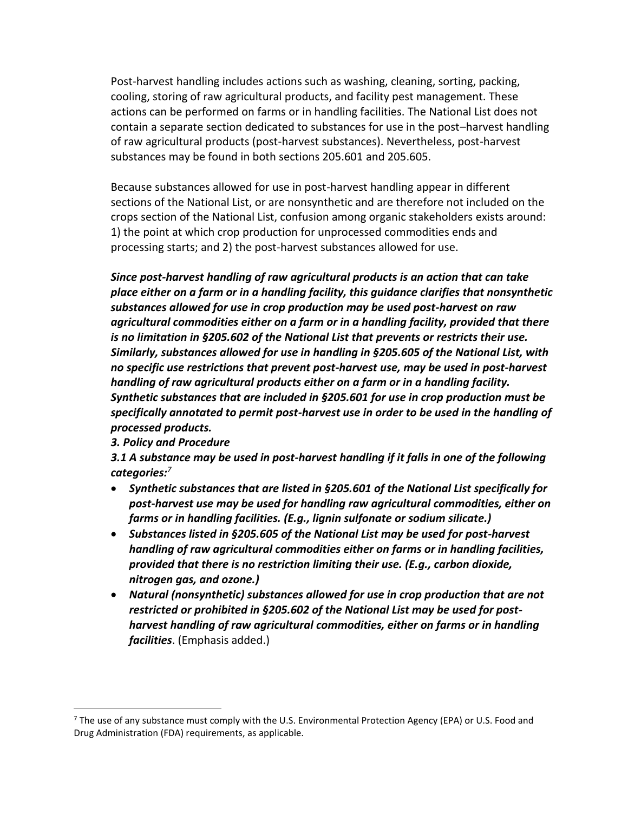Post-harvest handling includes actions such as washing, cleaning, sorting, packing, cooling, storing of raw agricultural products, and facility pest management. These actions can be performed on farms or in handling facilities. The National List does not contain a separate section dedicated to substances for use in the post–harvest handling of raw agricultural products (post-harvest substances). Nevertheless, post-harvest substances may be found in both sections 205.601 and 205.605.

Because substances allowed for use in post-harvest handling appear in different sections of the National List, or are nonsynthetic and are therefore not included on the crops section of the National List, confusion among organic stakeholders exists around: 1) the point at which crop production for unprocessed commodities ends and processing starts; and 2) the post-harvest substances allowed for use.

*Since post-harvest handling of raw agricultural products is an action that can take place either on a farm or in a handling facility, this guidance clarifies that nonsynthetic substances allowed for use in crop production may be used post-harvest on raw agricultural commodities either on a farm or in a handling facility, provided that there is no limitation in §205.602 of the National List that prevents or restricts their use. Similarly, substances allowed for use in handling in §205.605 of the National List, with no specific use restrictions that prevent post-harvest use, may be used in post-harvest handling of raw agricultural products either on a farm or in a handling facility. Synthetic substances that are included in §205.601 for use in crop production must be specifically annotated to permit post-harvest use in order to be used in the handling of processed products.*

#### *3. Policy and Procedure*

*3.1 A substance may be used in post-harvest handling if it falls in one of the following categories:<sup>7</sup>*

- *Synthetic substances that are listed in §205.601 of the National List specifically for post-harvest use may be used for handling raw agricultural commodities, either on farms or in handling facilities. (E.g., lignin sulfonate or sodium silicate.)*
- *Substances listed in §205.605 of the National List may be used for post-harvest handling of raw agricultural commodities either on farms or in handling facilities, provided that there is no restriction limiting their use. (E.g., carbon dioxide, nitrogen gas, and ozone.)*
- *Natural (nonsynthetic) substances allowed for use in crop production that are not restricted or prohibited in §205.602 of the National List may be used for postharvest handling of raw agricultural commodities, either on farms or in handling facilities*. (Emphasis added.)

 $7$  The use of any substance must comply with the U.S. Environmental Protection Agency (EPA) or U.S. Food and Drug Administration (FDA) requirements, as applicable.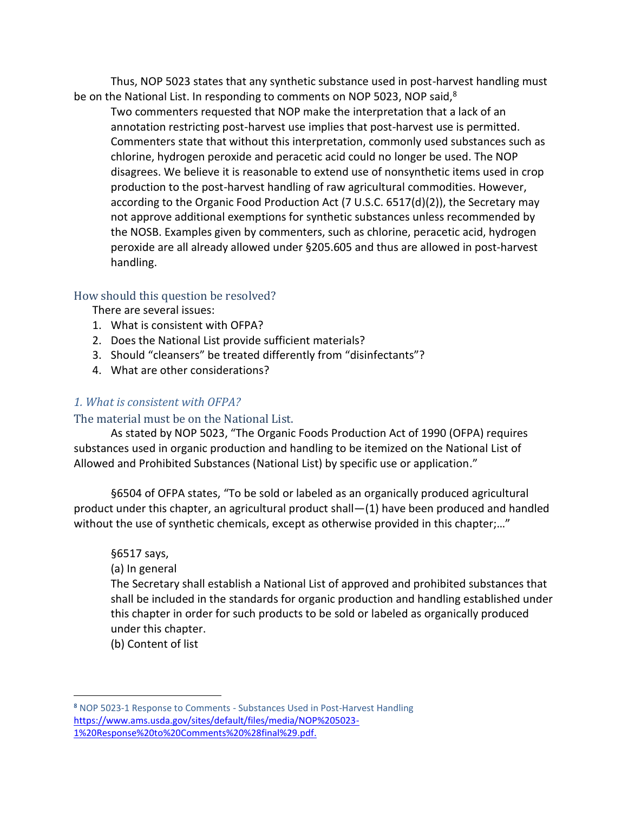Thus, NOP 5023 states that any synthetic substance used in post-harvest handling must be on the National List. In responding to comments on NOP 5023, NOP said,<sup>8</sup>

Two commenters requested that NOP make the interpretation that a lack of an annotation restricting post-harvest use implies that post-harvest use is permitted. Commenters state that without this interpretation, commonly used substances such as chlorine, hydrogen peroxide and peracetic acid could no longer be used. The NOP disagrees. We believe it is reasonable to extend use of nonsynthetic items used in crop production to the post-harvest handling of raw agricultural commodities. However, according to the Organic Food Production Act (7 U.S.C. 6517(d)(2)), the Secretary may not approve additional exemptions for synthetic substances unless recommended by the NOSB. Examples given by commenters, such as chlorine, peracetic acid, hydrogen peroxide are all already allowed under §205.605 and thus are allowed in post-harvest handling.

### How should this question be resolved?

There are several issues:

- 1. What is consistent with OFPA?
- 2. Does the National List provide sufficient materials?
- 3. Should "cleansers" be treated differently from "disinfectants"?
- 4. What are other considerations?

### *1. What is consistent with OFPA?*

### The material must be on the National List.

As stated by NOP 5023, "The Organic Foods Production Act of 1990 (OFPA) requires substances used in organic production and handling to be itemized on the National List of Allowed and Prohibited Substances (National List) by specific use or application."

§6504 of OFPA states, "To be sold or labeled as an organically produced agricultural product under this chapter, an agricultural product shall—(1) have been produced and handled without the use of synthetic chemicals, except as otherwise provided in this chapter;…"

### §6517 says,

### (a) In general

The Secretary shall establish a National List of approved and prohibited substances that shall be included in the standards for organic production and handling established under this chapter in order for such products to be sold or labeled as organically produced under this chapter.

(b) Content of list

**<sup>8</sup>** NOP 5023-1 Response to Comments - Substances Used in Post-Harvest Handling [https://www.ams.usda.gov/sites/default/files/media/NOP%205023-](https://www.ams.usda.gov/sites/default/files/media/NOP%205023-1%20Response%20to%20Comments%20%28final%29.pdf) [1%20Response%20to%20Comments%20%28final%29.pdf.](https://www.ams.usda.gov/sites/default/files/media/NOP%205023-1%20Response%20to%20Comments%20%28final%29.pdf)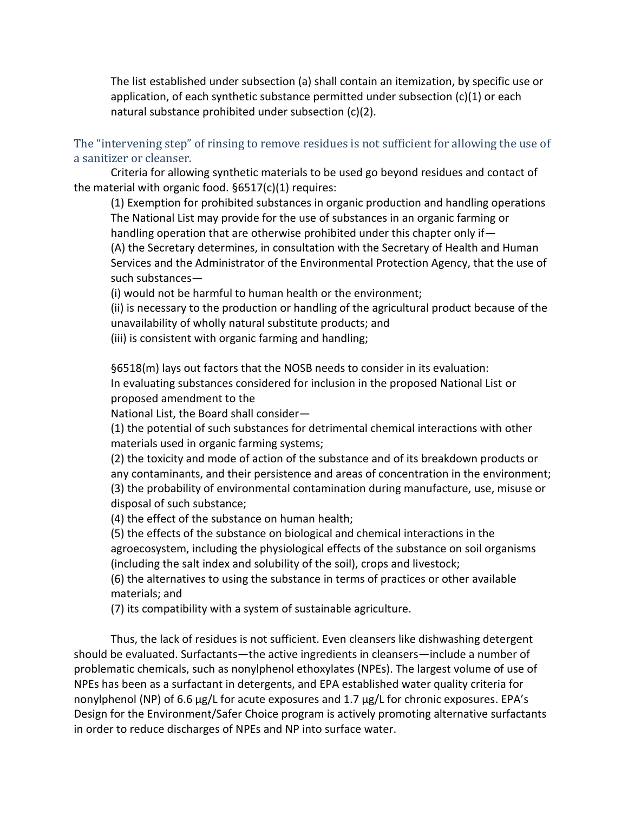The list established under subsection (a) shall contain an itemization, by specific use or application, of each synthetic substance permitted under subsection  $(c)(1)$  or each natural substance prohibited under subsection (c)(2).

The "intervening step" of rinsing to remove residues is not sufficient for allowing the use of a sanitizer or cleanser.

Criteria for allowing synthetic materials to be used go beyond residues and contact of the material with organic food. §6517(c)(1) requires:

(1) Exemption for prohibited substances in organic production and handling operations The National List may provide for the use of substances in an organic farming or handling operation that are otherwise prohibited under this chapter only if— (A) the Secretary determines, in consultation with the Secretary of Health and Human Services and the Administrator of the Environmental Protection Agency, that the use of such substances—

(i) would not be harmful to human health or the environment;

(ii) is necessary to the production or handling of the agricultural product because of the unavailability of wholly natural substitute products; and

(iii) is consistent with organic farming and handling;

§6518(m) lays out factors that the NOSB needs to consider in its evaluation: In evaluating substances considered for inclusion in the proposed National List or proposed amendment to the

National List, the Board shall consider—

(1) the potential of such substances for detrimental chemical interactions with other materials used in organic farming systems;

(2) the toxicity and mode of action of the substance and of its breakdown products or any contaminants, and their persistence and areas of concentration in the environment; (3) the probability of environmental contamination during manufacture, use, misuse or disposal of such substance;

(4) the effect of the substance on human health;

(5) the effects of the substance on biological and chemical interactions in the agroecosystem, including the physiological effects of the substance on soil organisms (including the salt index and solubility of the soil), crops and livestock;

(6) the alternatives to using the substance in terms of practices or other available materials; and

(7) its compatibility with a system of sustainable agriculture.

Thus, the lack of residues is not sufficient. Even cleansers like dishwashing detergent should be evaluated. Surfactants—the active ingredients in cleansers—include a number of problematic chemicals, such as nonylphenol ethoxylates (NPEs). The largest volume of use of NPEs has been as a surfactant in detergents, and EPA established water quality criteria for nonylphenol (NP) of 6.6 μg/L for acute exposures and 1.7 μg/L for chronic exposures. EPA's Design for the Environment/Safer Choice program is actively promoting alternative surfactants in order to reduce discharges of NPEs and NP into surface water.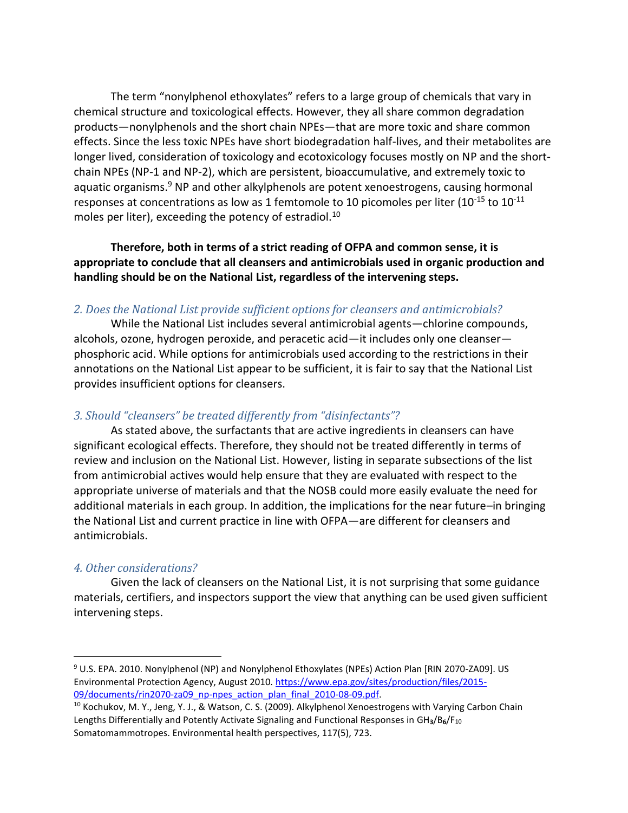The term "nonylphenol ethoxylates" refers to a large group of chemicals that vary in chemical structure and toxicological effects. However, they all share common degradation products—nonylphenols and the short chain NPEs—that are more toxic and share common effects. Since the less toxic NPEs have short biodegradation half-lives, and their metabolites are longer lived, consideration of toxicology and ecotoxicology focuses mostly on NP and the shortchain NPEs (NP-1 and NP-2), which are persistent, bioaccumulative, and extremely toxic to aquatic organisms. $9$  NP and other alkylphenols are potent xenoestrogens, causing hormonal responses at concentrations as low as 1 femtomole to 10 picomoles per liter (10<sup>-15</sup> to 10<sup>-11</sup> moles per liter), exceeding the potency of estradiol.<sup>10</sup>

**Therefore, both in terms of a strict reading of OFPA and common sense, it is appropriate to conclude that all cleansers and antimicrobials used in organic production and handling should be on the National List, regardless of the intervening steps.** 

#### *2. Does the National List provide sufficient options for cleansers and antimicrobials?*

While the National List includes several antimicrobial agents—chlorine compounds, alcohols, ozone, hydrogen peroxide, and peracetic acid—it includes only one cleanser phosphoric acid. While options for antimicrobials used according to the restrictions in their annotations on the National List appear to be sufficient, it is fair to say that the National List provides insufficient options for cleansers.

#### *3. Should "cleansers" be treated differently from "disinfectants"?*

As stated above, the surfactants that are active ingredients in cleansers can have significant ecological effects. Therefore, they should not be treated differently in terms of review and inclusion on the National List. However, listing in separate subsections of the list from antimicrobial actives would help ensure that they are evaluated with respect to the appropriate universe of materials and that the NOSB could more easily evaluate the need for additional materials in each group. In addition, the implications for the near future–in bringing the National List and current practice in line with OFPA—are different for cleansers and antimicrobials.

#### *4. Other considerations?*

Given the lack of cleansers on the National List, it is not surprising that some guidance materials, certifiers, and inspectors support the view that anything can be used given sufficient intervening steps.

<sup>&</sup>lt;sup>9</sup> U.S. EPA. 2010. Nonylphenol (NP) and Nonylphenol Ethoxylates (NPEs) Action Plan [RIN 2070-ZA09]. US Environmental Protection Agency, August 2010[. https://www.epa.gov/sites/production/files/2015-](https://www.epa.gov/sites/production/files/2015-09/documents/rin2070-za09_np-npes_action_plan_final_2010-08-09.pdf) [09/documents/rin2070-za09\\_np-npes\\_action\\_plan\\_final\\_2010-08-09.pdf.](https://www.epa.gov/sites/production/files/2015-09/documents/rin2070-za09_np-npes_action_plan_final_2010-08-09.pdf)

<sup>&</sup>lt;sup>10</sup> Kochukov, M. Y., Jeng, Y. J., & Watson, C. S. (2009). Alkylphenol Xenoestrogens with Varying Carbon Chain Lengths Differentially and Potently Activate Signaling and Functional Responses in GH**3**/B**6**/F<sup>10</sup> Somatomammotropes. Environmental health perspectives, 117(5), 723.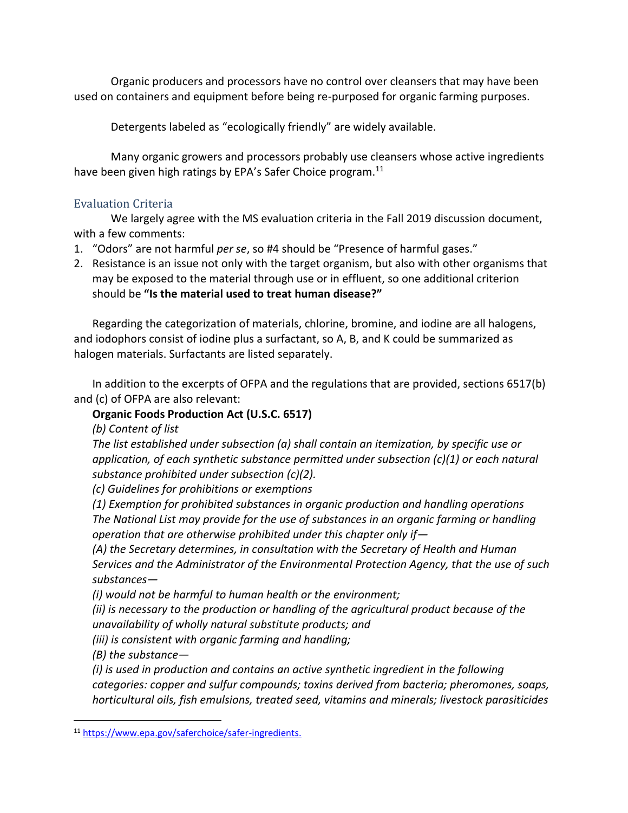Organic producers and processors have no control over cleansers that may have been used on containers and equipment before being re-purposed for organic farming purposes.

Detergents labeled as "ecologically friendly" are widely available.

Many organic growers and processors probably use cleansers whose active ingredients have been given high ratings by EPA's Safer Choice program.<sup>11</sup>

## Evaluation Criteria

We largely agree with the MS evaluation criteria in the Fall 2019 discussion document, with a few comments:

- 1. "Odors" are not harmful *per se*, so #4 should be "Presence of harmful gases."
- 2. Resistance is an issue not only with the target organism, but also with other organisms that may be exposed to the material through use or in effluent, so one additional criterion should be **"Is the material used to treat human disease?"**

Regarding the categorization of materials, chlorine, bromine, and iodine are all halogens, and iodophors consist of iodine plus a surfactant, so A, B, and K could be summarized as halogen materials. Surfactants are listed separately.

In addition to the excerpts of OFPA and the regulations that are provided, sections 6517(b) and (c) of OFPA are also relevant:

## **Organic Foods Production Act (U.S.C. 6517)**

*(b) Content of list*

*The list established under subsection (a) shall contain an itemization, by specific use or application, of each synthetic substance permitted under subsection (c)(1) or each natural substance prohibited under subsection (c)(2).*

*(c) Guidelines for prohibitions or exemptions*

*(1) Exemption for prohibited substances in organic production and handling operations The National List may provide for the use of substances in an organic farming or handling operation that are otherwise prohibited under this chapter only if—*

*(A) the Secretary determines, in consultation with the Secretary of Health and Human Services and the Administrator of the Environmental Protection Agency, that the use of such substances—*

*(i) would not be harmful to human health or the environment;*

*(ii) is necessary to the production or handling of the agricultural product because of the unavailability of wholly natural substitute products; and*

*(iii) is consistent with organic farming and handling;*

*(B) the substance—*

*(i) is used in production and contains an active synthetic ingredient in the following categories: copper and sulfur compounds; toxins derived from bacteria; pheromones, soaps, horticultural oils, fish emulsions, treated seed, vitamins and minerals; livestock parasiticides* 

<sup>11</sup> [https://www.epa.gov/saferchoice/safer-ingredients.](https://www.epa.gov/saferchoice/safer-ingredients)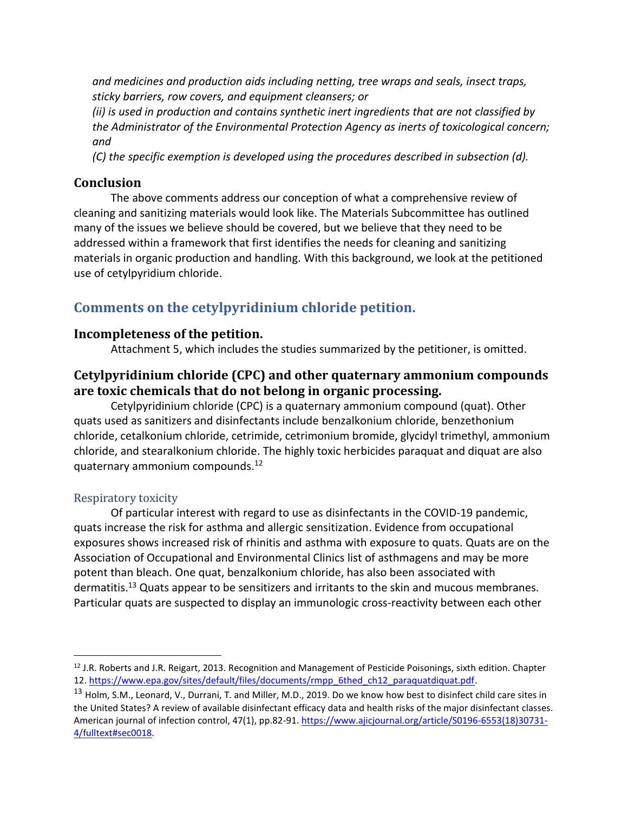*and medicines and production aids including netting, tree wraps and seals, insect traps, sticky barriers, row covers, and equipment cleansers; or*

*(ii) is used in production and contains synthetic inert ingredients that are not classified by the Administrator of the Environmental Protection Agency as inerts of toxicological concern; and*

*(C) the specific exemption is developed using the procedures described in subsection (d).*

### **Conclusion**

The above comments address our conception of what a comprehensive review of cleaning and sanitizing materials would look like. The Materials Subcommittee has outlined many of the issues we believe should be covered, but we believe that they need to be addressed within a framework that first identifies the needs for cleaning and sanitizing materials in organic production and handling. With this background, we look at the petitioned use of cetylpyridium chloride.

# **Comments on the cetylpyridinium chloride petition.**

### **Incompleteness of the petition.**

Attachment 5, which includes the studies summarized by the petitioner, is omitted.

## **Cetylpyridinium chloride (CPC) and other quaternary ammonium compounds are toxic chemicals that do not belong in organic processing.**

Cetylpyridinium chloride (CPC) is a quaternary ammonium compound (quat). Other quats used as sanitizers and disinfectants include benzalkonium chloride, benzethonium chloride, cetalkonium chloride, cetrimide, cetrimonium bromide, glycidyl trimethyl, ammonium chloride, and stearalkonium chloride. The highly toxic herbicides paraquat and diquat are also quaternary ammonium compounds.<sup>12</sup>

### Respiratory toxicity

Of particular interest with regard to use as disinfectants in the COVID-19 pandemic, quats increase the risk for asthma and allergic sensitization. Evidence from occupational exposures shows increased risk of rhinitis and asthma with exposure to quats. Quats are on the Association of Occupational and Environmental Clinics list of asthmagens and may be more potent than bleach. One quat, benzalkonium chloride, has also been associated with dermatitis.<sup>13</sup> Quats appear to be sensitizers and irritants to the skin and mucous membranes. Particular quats are suspected to display an immunologic cross-reactivity between each other

 $12$  J.R. Roberts and J.R. Reigart, 2013. Recognition and Management of Pesticide Poisonings, sixth edition. Chapter 12. [https://www.epa.gov/sites/default/files/documents/rmpp\\_6thed\\_ch12\\_paraquatdiquat.pdf.](https://www.epa.gov/sites/default/files/documents/rmpp_6thed_ch12_paraquatdiquat.pdf)

<sup>&</sup>lt;sup>13</sup> Holm, S.M., Leonard, V., Durrani, T. and Miller, M.D., 2019. Do we know how best to disinfect child care sites in the United States? A review of available disinfectant efficacy data and health risks of the major disinfectant classes. American journal of infection control, 47(1), pp.82-91. [https://www.ajicjournal.org/article/S0196-6553\(18\)30731-](https://www.ajicjournal.org/article/S0196-6553(18)30731-4/fulltext#sec0018) [4/fulltext#sec0018.](https://www.ajicjournal.org/article/S0196-6553(18)30731-4/fulltext#sec0018)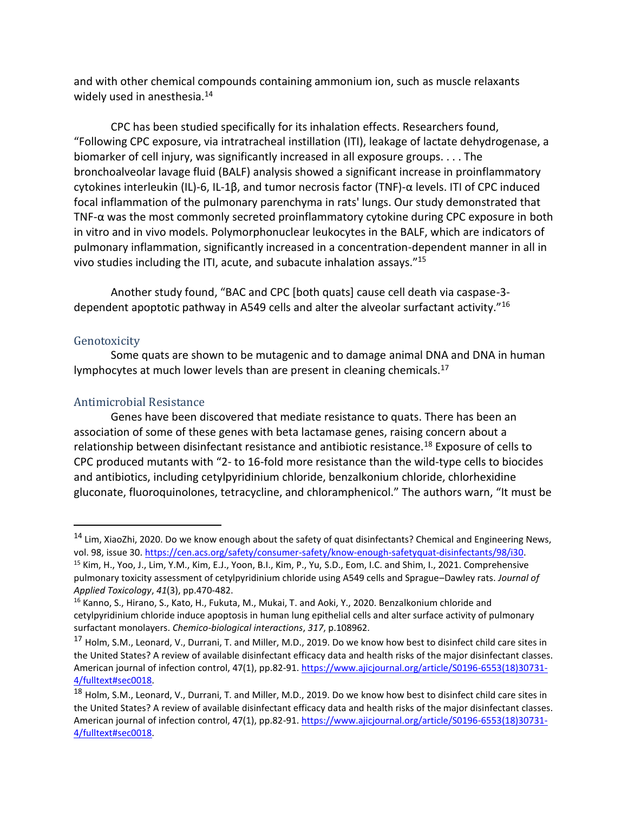and with other chemical compounds containing ammonium ion, such as muscle relaxants widely used in anesthesia.<sup>14</sup>

CPC has been studied specifically for its inhalation effects. Researchers found, "Following CPC exposure, via intratracheal instillation (ITI), leakage of lactate dehydrogenase, a biomarker of cell injury, was significantly increased in all exposure groups. . . . The bronchoalveolar lavage fluid (BALF) analysis showed a significant increase in proinflammatory cytokines interleukin (IL)-6, IL-1β, and tumor necrosis factor (TNF)-α levels. ITI of CPC induced focal inflammation of the pulmonary parenchyma in rats' lungs. Our study demonstrated that TNF-α was the most commonly secreted proinflammatory cytokine during CPC exposure in both in vitro and in vivo models. Polymorphonuclear leukocytes in the BALF, which are indicators of pulmonary inflammation, significantly increased in a concentration-dependent manner in all in vivo studies including the ITI, acute, and subacute inhalation assays."<sup>15</sup>

Another study found, "BAC and CPC [both quats] cause cell death via caspase-3 dependent apoptotic pathway in A549 cells and alter the alveolar surfactant activity."<sup>16</sup>

#### Genotoxicity

Some quats are shown to be mutagenic and to damage animal DNA and DNA in human lymphocytes at much lower levels than are present in cleaning chemicals.<sup>17</sup>

### Antimicrobial Resistance

Genes have been discovered that mediate resistance to quats. There has been an association of some of these genes with beta lactamase genes, raising concern about a relationship between disinfectant resistance and antibiotic resistance.<sup>18</sup> Exposure of cells to CPC produced mutants with "2- to 16-fold more resistance than the wild-type cells to biocides and antibiotics, including cetylpyridinium chloride, benzalkonium chloride, chlorhexidine gluconate, fluoroquinolones, tetracycline, and chloramphenicol." The authors warn, "It must be

<sup>&</sup>lt;sup>14</sup> Lim, XiaoZhi, 2020. Do we know enough about the safety of quat disinfectants? Chemical and Engineering News, vol. 98, issue 30. [https://cen.acs.org/safety/consumer-safety/know-enough-safetyquat-disinfectants/98/i30.](https://cen.acs.org/safety/consumer-safety/know-enough-safetyquat-disinfectants/98/i30)

<sup>15</sup> Kim, H., Yoo, J., Lim, Y.M., Kim, E.J., Yoon, B.I., Kim, P., Yu, S.D., Eom, I.C. and Shim, I., 2021. Comprehensive pulmonary toxicity assessment of cetylpyridinium chloride using A549 cells and Sprague–Dawley rats. *Journal of Applied Toxicology*, *41*(3), pp.470-482.

<sup>&</sup>lt;sup>16</sup> Kanno, S., Hirano, S., Kato, H., Fukuta, M., Mukai, T. and Aoki, Y., 2020. Benzalkonium chloride and cetylpyridinium chloride induce apoptosis in human lung epithelial cells and alter surface activity of pulmonary surfactant monolayers. *Chemico-biological interactions*, *317*, p.108962.

<sup>&</sup>lt;sup>17</sup> Holm, S.M., Leonard, V., Durrani, T. and Miller, M.D., 2019. Do we know how best to disinfect child care sites in the United States? A review of available disinfectant efficacy data and health risks of the major disinfectant classes. American journal of infection control, 47(1), pp.82-91. [https://www.ajicjournal.org/article/S0196-6553\(18\)30731-](https://www.ajicjournal.org/article/S0196-6553(18)30731-4/fulltext#sec0018) [4/fulltext#sec0018.](https://www.ajicjournal.org/article/S0196-6553(18)30731-4/fulltext#sec0018)

<sup>&</sup>lt;sup>18</sup> Holm, S.M., Leonard, V., Durrani, T. and Miller, M.D., 2019. Do we know how best to disinfect child care sites in the United States? A review of available disinfectant efficacy data and health risks of the major disinfectant classes. American journal of infection control, 47(1), pp.82-91. [https://www.ajicjournal.org/article/S0196-6553\(18\)30731-](https://www.ajicjournal.org/article/S0196-6553(18)30731-4/fulltext#sec0018) [4/fulltext#sec0018.](https://www.ajicjournal.org/article/S0196-6553(18)30731-4/fulltext#sec0018)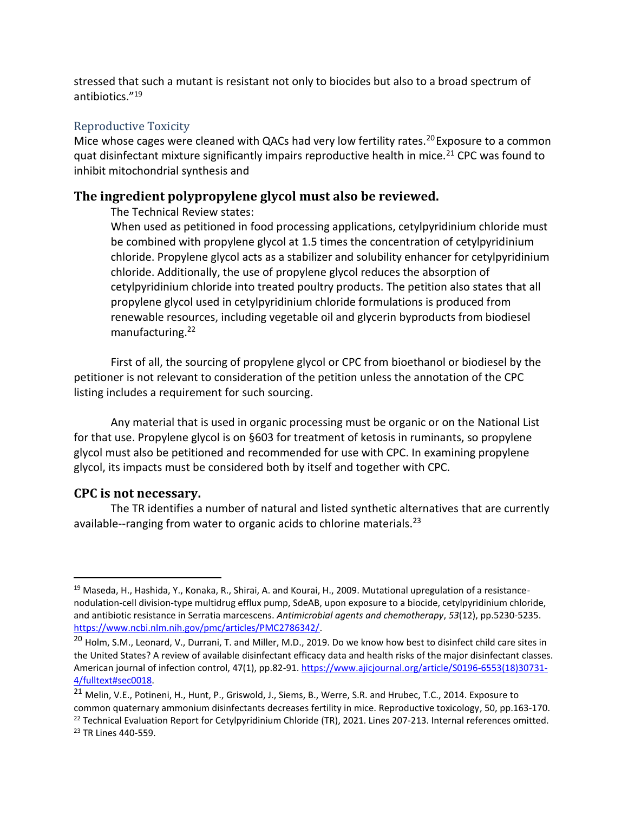stressed that such a mutant is resistant not only to biocides but also to a broad spectrum of antibiotics."<sup>19</sup>

### Reproductive Toxicity

Mice whose cages were cleaned with QACs had very low fertility rates.<sup>20</sup> Exposure to a common quat disinfectant mixture significantly impairs reproductive health in mice.<sup>21</sup> CPC was found to inhibit mitochondrial synthesis and

## **The ingredient polypropylene glycol must also be reviewed.**

The Technical Review states:

When used as petitioned in food processing applications, cetylpyridinium chloride must be combined with propylene glycol at 1.5 times the concentration of cetylpyridinium chloride. Propylene glycol acts as a stabilizer and solubility enhancer for cetylpyridinium chloride. Additionally, the use of propylene glycol reduces the absorption of cetylpyridinium chloride into treated poultry products. The petition also states that all propylene glycol used in cetylpyridinium chloride formulations is produced from renewable resources, including vegetable oil and glycerin byproducts from biodiesel manufacturing.<sup>22</sup>

First of all, the sourcing of propylene glycol or CPC from bioethanol or biodiesel by the petitioner is not relevant to consideration of the petition unless the annotation of the CPC listing includes a requirement for such sourcing.

Any material that is used in organic processing must be organic or on the National List for that use. Propylene glycol is on §603 for treatment of ketosis in ruminants, so propylene glycol must also be petitioned and recommended for use with CPC. In examining propylene glycol, its impacts must be considered both by itself and together with CPC.

### **CPC is not necessary.**

The TR identifies a number of natural and listed synthetic alternatives that are currently available--ranging from water to organic acids to chlorine materials.<sup>23</sup>

<sup>&</sup>lt;sup>19</sup> Maseda, H., Hashida, Y., Konaka, R., Shirai, A. and Kourai, H., 2009. Mutational upregulation of a resistancenodulation-cell division-type multidrug efflux pump, SdeAB, upon exposure to a biocide, cetylpyridinium chloride, and antibiotic resistance in Serratia marcescens. *Antimicrobial agents and chemotherapy*, *53*(12), pp.5230-5235. [https://www.ncbi.nlm.nih.gov/pmc/articles/PMC2786342/.](https://www.ncbi.nlm.nih.gov/pmc/articles/PMC2786342/)

<sup>&</sup>lt;sup>20</sup> Holm, S.M., Leonard, V., Durrani, T. and Miller, M.D., 2019. Do we know how best to disinfect child care sites in the United States? A review of available disinfectant efficacy data and health risks of the major disinfectant classes. American journal of infection control, 47(1), pp.82-91. [https://www.ajicjournal.org/article/S0196-6553\(18\)30731-](https://www.ajicjournal.org/article/S0196-6553(18)30731-4/fulltext#sec0018) [4/fulltext#sec0018.](https://www.ajicjournal.org/article/S0196-6553(18)30731-4/fulltext#sec0018)

<sup>&</sup>lt;sup>21</sup> Melin, V.E., Potineni, H., Hunt, P., Griswold, J., Siems, B., Werre, S.R. and Hrubec, T.C., 2014. Exposure to common quaternary ammonium disinfectants decreases fertility in mice. Reproductive toxicology, 50, pp.163-170.  $^{22}$  Technical Evaluation Report for Cetylpyridinium Chloride (TR), 2021. Lines 207-213. Internal references omitted.

<sup>23</sup> TR Lines 440-559.